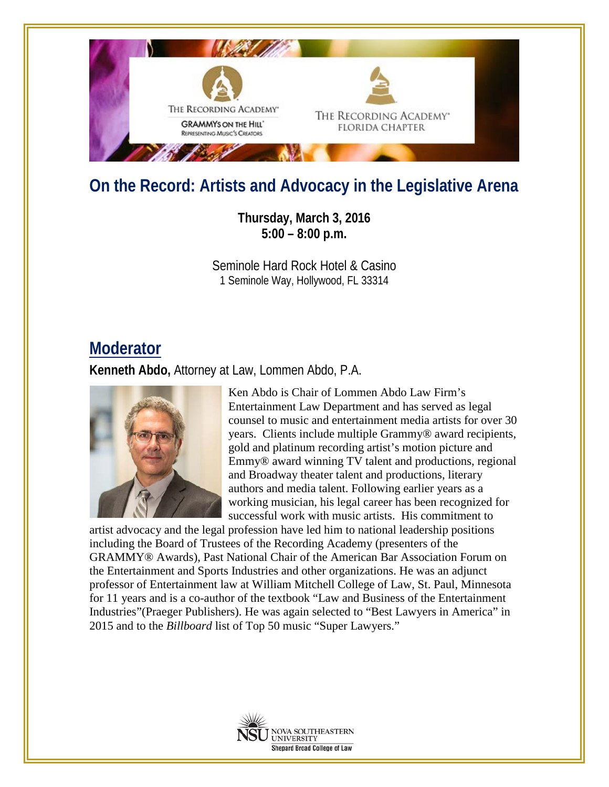

## **On the Record: Artists and Advocacy in the Legislative Arena**

**Thursday, March 3, 2016 5:00 – 8:00 p.m.**

Seminole Hard Rock Hotel & Casino 1 Seminole Way, Hollywood, FL 33314

## **Moderator**

**Kenneth Abdo,** Attorney at Law, Lommen Abdo, P.A.



Ken Abdo is Chair of Lommen Abdo Law Firm's Entertainment Law Department and has served as legal counsel to music and entertainment media artists for over 30 years. Clients include multiple Grammy® award recipients, gold and platinum recording artist's motion picture and Emmy® award winning TV talent and productions, regional and Broadway theater talent and productions, literary authors and media talent. Following earlier years as a working musician, his legal career has been recognized for successful work with music artists. His commitment to

artist advocacy and the legal profession have led him to national leadership positions including the Board of Trustees of the Recording Academy (presenters of the GRAMMY® Awards), Past National Chair of the American Bar Association Forum on the Entertainment and Sports Industries and other organizations. He was an adjunct professor of Entertainment law at William Mitchell College of Law, St. Paul, Minnesota for 11 years and is a co-author of the textbook "Law and Business of the Entertainment Industries"(Praeger Publishers). He was again selected to "Best Lawyers in America" in 2015 and to the *Billboard* list of Top 50 music "Super Lawyers."

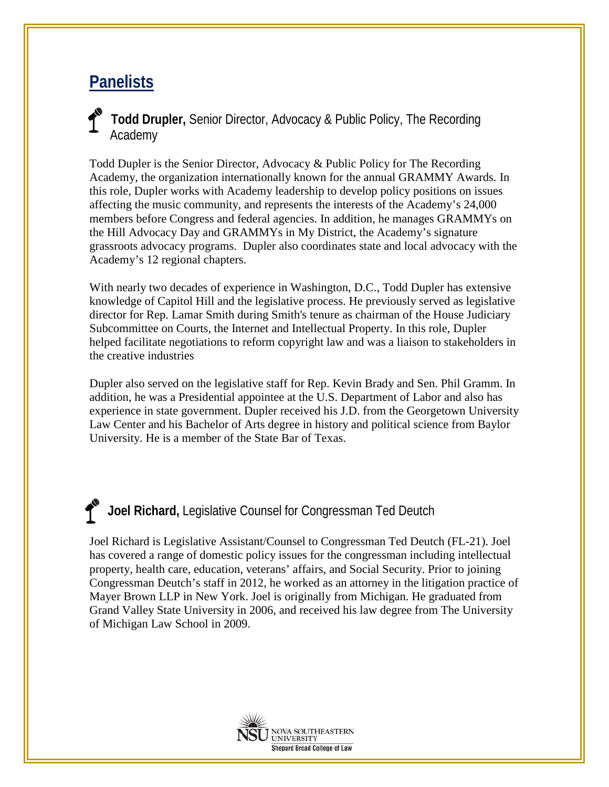## **Panelists**

**Todd Drupler,** Senior Director, Advocacy & Public Policy, The Recording Academy

Todd Dupler is the Senior Director, Advocacy & Public Policy for The Recording Academy, the organization internationally known for the annual GRAMMY Awards. In this role, Dupler works with Academy leadership to develop policy positions on issues affecting the music community, and represents the interests of the Academy's 24,000 members before Congress and federal agencies. In addition, he manages GRAMMYs on the Hill Advocacy Day and GRAMMYs in My District, the Academy's signature grassroots advocacy programs. Dupler also coordinates state and local advocacy with the Academy's 12 regional chapters.

With nearly two decades of experience in Washington, D.C., Todd Dupler has extensive knowledge of Capitol Hill and the legislative process. He previously served as legislative director for Rep. Lamar Smith during Smith's tenure as chairman of the House Judiciary Subcommittee on Courts, the Internet and Intellectual Property. In this role, Dupler helped facilitate negotiations to reform copyright law and was a liaison to stakeholders in the creative industries

Dupler also served on the legislative staff for Rep. Kevin Brady and Sen. Phil Gramm. In addition, he was a Presidential appointee at the U.S. Department of Labor and also has experience in state government. Dupler received his J.D. from the Georgetown University Law Center and his Bachelor of Arts degree in history and political science from Baylor University. He is a member of the State Bar of Texas.

## **Joel Richard,** Legislative Counsel for Congressman Ted Deutch

Joel Richard is Legislative Assistant/Counsel to Congressman Ted Deutch (FL-21). Joel has covered a range of domestic policy issues for the congressman including intellectual property, health care, education, veterans' affairs, and Social Security. Prior to joining Congressman Deutch's staff in 2012, he worked as an attorney in the litigation practice of Mayer Brown LLP in New York. Joel is originally from Michigan. He graduated from Grand Valley State University in 2006, and received his law degree from The University of Michigan Law School in 2009.